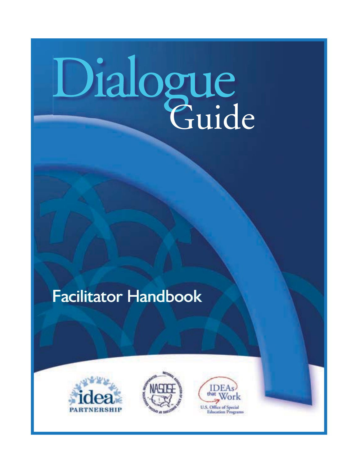# Dialogue

# Facilitator Handbook Facilitator Handbook





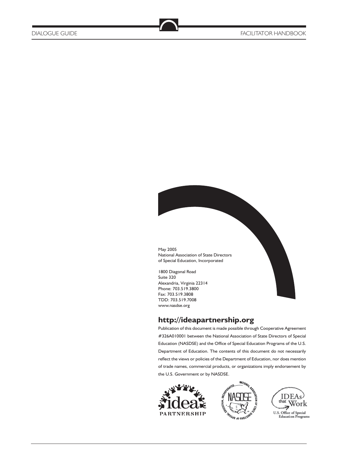

#### **http://ideapartnership.org**

Publication of this document is made possible through Cooperative Agreement #326A010001 between the National Association of State Directors of Special Education (NASDSE) and the Office of Special Education Programs of the U.S. Department of Education. The contents of this document do not necessarily reflect the views or policies of the Department of Education, nor does mention of trade names, commercial products, or organizations imply endorsement by the U.S. Government or by NASDSE.



TDD: 703.519.7008 www.nasdse.org

*ii ...........................................................................................................................IDEA Partnership*



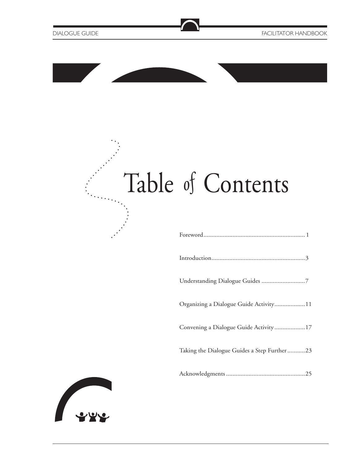

*IDEA Partnership ......................................................................................................................... iii*

| Organizing a Dialogue Guide Activity 11     |
|---------------------------------------------|
| Convening a Dialogue Guide Activity  17     |
| Taking the Dialogue Guides a Step Further23 |
|                                             |

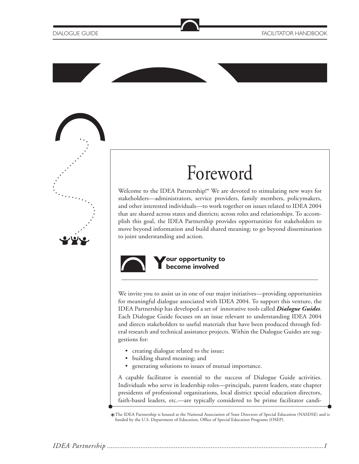



# Foreword

Welcome to the IDEA Partnership!\* We are devoted to stimulating new ways for stakeholders—administrators, service providers, family members, policymakers, and other interested individuals—to work together on issues related to IDEA 2004 that are shared across states and districts; across roles and relationships. To accomplish this goal, the IDEA Partnership provides opportunities for stakeholders to move beyond information and build shared meaning; to go beyond dissemination to joint understanding and action.



#### **Your opportunity to become involved**

We invite you to assist us in one of our major initiatives—providing opportunities for meaningful dialogue associated with IDEA 2004. To support this venture, the IDEA Partnership has developed a set of innovative tools called *Dialogue Guides*. Each Dialogue Guide focuses on an issue relevant to understanding IDEA 2004 and directs stakeholders to useful materials that have been produced through federal research and technical assistance projects. Within the Dialogue Guides are suggestions for:

- creating dialogue related to the issue;
- building shared meaning; and
- generating solutions to issues of mutual importance.

A capable facilitator is essential to the success of Dialogue Guide activities. Individuals who serve in leadership roles—principals, parent leaders, state chapter presidents of professional organizations, local district special education directors, faith-based leaders, etc.—are typically considered to be prime facilitator candi-

\* The IDEA Partnership is housed at the National Association of State Directors of Special Education (NASDSE) and is funded by the U.S. Department of Education, Office of Special Education Programs (OSEP).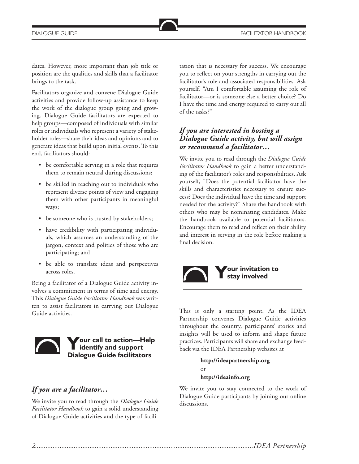dates. However, more important than job title or position are the qualities and skills that a facilitator brings to the task.

Facilitators organize and convene Dialogue Guide activities and provide follow-up assistance to keep the work of the dialogue group going and growing. Dialogue Guide facilitators are expected to help groups—composed of individuals with similar roles or individuals who represent a variety of stakeholder roles—share their ideas and opinions and to generate ideas that build upon initial events. To this end, facilitators should:

- be comfortable serving in a role that requires them to remain neutral during discussions;
- be skilled in reaching out to individuals who represent diverse points of view and engaging them with other participants in meaningful ways;
- be someone who is trusted by stakeholders;
- have credibility with participating individuals, which assumes an understanding of the jargon, context and politics of those who are participating; and
- be able to translate ideas and perspectives across roles.

Being a facilitator of a Dialogue Guide activity involves a commitment in terms of time and energy. This *Dialogue Guide Facilitator Handbook* was written to assist facilitators in carrying out Dialogue Guide activities.



#### *If you are a facilitator…*

We invite you to read through the *Dialogue Guide Facilitator Handbook* to gain a solid understanding of Dialogue Guide activities and the type of facilitation that is necessary for success. We encourage you to reflect on your strengths in carrying out the facilitator's role and associated responsibilities. Ask yourself, "Am I comfortable assuming the role of facilitator—or is someone else a better choice? Do I have the time and energy required to carry out all of the tasks?"

#### *If you are interested in hosting a Dialogue Guide activity, but will assign or recommend a facilitator…*

We invite you to read through the *Dialogue Guide Facilitator Handbook* to gain a better understanding of the facilitator's roles and responsibilities. Ask yourself, "Does the potential facilitator have the skills and characteristics necessary to ensure success? Does the individual have the time and support needed for the activity?" Share the handbook with others who may be nominating candidates. Make the handbook available to potential facilitators. Encourage them to read and reflect on their ability and interest in serving in the role before making a final decision.



This is only a starting point. As the IDEA Partnership convenes Dialogue Guide activities throughout the country, participants' stories and insights will be used to inform and shape future practices. Participants will share and exchange feedback via the IDEA Partnership websites at

> **http://ideapartnership.org** or **http://ideainfo.org**

We invite you to stay connected to the work of Dialogue Guide participants by joining our online discussions.

*2............................................................................................................................IDEA Partnership*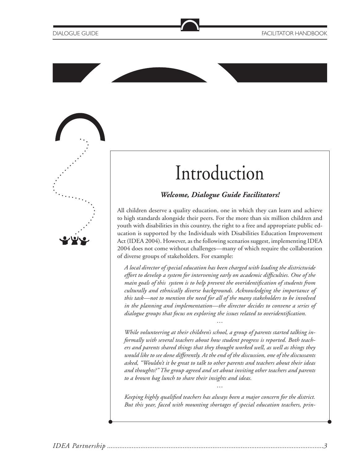



# Introduction

#### *Welcome, Dialogue Guide Facilitators!*

All children deserve a quality education, one in which they can learn and achieve to high standards alongside their peers. For the more than six million children and youth with disabilities in this country, the right to a free and appropriate public education is supported by the Individuals with Disabilities Education Improvement Act (IDEA 2004). However, as the following scenarios suggest, implementing IDEA 2004 does not come without challenges—many of which require the collaboration of diverse groups of stakeholders. For example:

*A local director of special education has been charged with leading the districtwide*  effort to develop a system for intervening early on academic difficulties. One of the *main goals of this system is to help prevent the overidentifi cation of students from culturally and ethnically diverse backgrounds. Acknowledging the importance of this task—not to mention the need for all of the many stakeholders to be involved in the planning and implementation—the director decides to convene a series of dialogue groups that focus on exploring the issues related to overidentifi cation.*

*While volunteering at their children's school, a group of parents started talking informally with several teachers about how student progress is reported. Both teachers and parents shared things that they thought worked well, as well as things they would like to see done differently. At the end of the discussion, one of the discussants asked, "Wouldn't it be great to talk to other parents and teachers about their ideas and thoughts?" The group agreed and set about inviting other teachers and parents to a brown bag lunch to share their insights and ideas.*

…

*Keeping highly qualified teachers has always been a major concern for the district. But this year, faced with mounting shortages of special education teachers, prin-*

…

#### *IDEA Partnership ...........................................................................................................................3*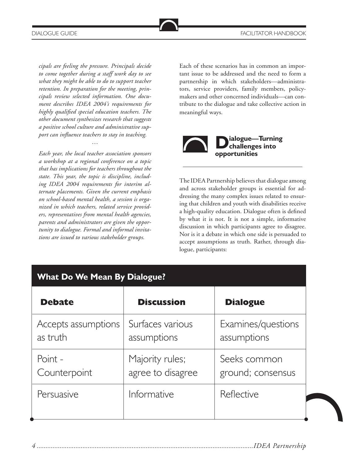*cipals are feeling the pressure. Principals decide to come together during a staff work day to see what they might be able to do to support teacher retention. In preparation for the meeting, principals review selected information. One document describes IDEA 2004's requirements for highly qualified special education teachers. The other document synthesizes research that suggests a positive school culture and administrative support can influence teachers to stay in teaching.* 

…

*Each year, the local teacher association sponsors a workshop at a regional conference on a topic that has implications for teachers throughout the state. This year, the topic is discipline, including IDEA 2004 requirements for interim alternate placements. Given the current emphasis on school-based mental health, a session is organized in which teachers, related service providers, representatives from mental health agencies, parents and administrators are given the opportunity to dialogue. Formal and informal invitations are issued to various stakeholder groups.* 

Each of these scenarios has in common an important issue to be addressed and the need to form a partnership in which stakeholders—administrators, service providers, family members, policymakers and other concerned individuals—can contribute to the dialogue and take collective action in meaningful ways.



The IDEA Partnership believes that dialogue among and across stakeholder groups is essential for addressing the many complex issues related to ensuring that children and youth with disabilities receive a high-quality education. Dialogue often is defined by what it is not. It is not a simple, informative discussion in which participants agree to disagree. Nor is it a debate in which one side is persuaded to accept assumptions as truth. Rather, through dialogue, participants:

| <b>What Do We Mean By Dialogue?</b> |                                      |                                   |
|-------------------------------------|--------------------------------------|-----------------------------------|
| <b>Debate</b>                       | <b>Discussion</b>                    | <b>Dialogue</b>                   |
| Accepts assumptions<br>as truth     | Surfaces various<br>assumptions      | Examines/questions<br>assumptions |
| Point -<br>Counterpoint             | Majority rules;<br>agree to disagree | Seeks common<br>ground; consensus |
| Persuasive                          | Informative                          | Reflective                        |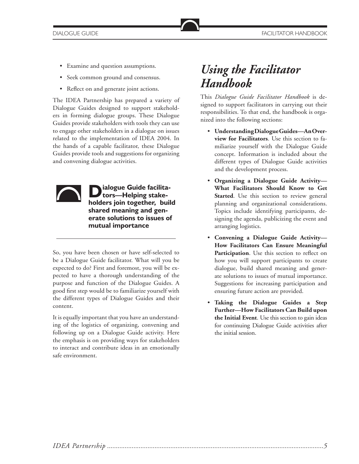- Examine and question assumptions.
- Seek common ground and consensus.
- Reflect on and generate joint actions.

The IDEA Partnership has prepared a variety of Dialogue Guides designed to support stakeholders in forming dialogue groups. These Dialogue Guides provide stakeholders with tools they can use to engage other stakeholders in a dialogue on issues related to the implementation of IDEA 2004. In the hands of a capable facilitator, these Dialogue Guides provide tools and suggestions for organizing and convening dialogue activities.

**Dialogue Guide facilitators—Helping stakeholders join together, build shared meaning and generate solutions to issues of mutual importance**

So, you have been chosen or have self-selected to be a Dialogue Guide facilitator. What will you be expected to do? First and foremost, you will be expected to have a thorough understanding of the purpose and function of the Dialogue Guides. A good first step would be to familiarize yourself with the different types of Dialogue Guides and their content.

It is equally important that you have an understanding of the logistics of organizing, convening and following up on a Dialogue Guide activity. Here the emphasis is on providing ways for stakeholders to interact and contribute ideas in an emotionally safe environment.

# *Using the Facilitator Handbook*

This *Dialogue Guide Facilitator Handbook* is designed to support facilitators in carrying out their responsibilities. To that end, the handbook is organized into the following sections:

- **Understanding Dialogue Guides—An Overview for Facilitators**. Use this section to familiarize yourself with the Dialogue Guide concept. Information is included about the different types of Dialogue Guide activities and the development process.
- **Organizing a Dialogue Guide Activity— What Facilitators Should Know to Get Started**. Use this section to review general planning and organizational considerations. Topics include identifying participants, designing the agenda, publicizing the event and arranging logistics.
- **Convening a Dialogue Guide Activity— How Facilitators Can Ensure Meaningful**  Participation. Use this section to reflect on how you will support participants to create dialogue, build shared meaning and generate solutions to issues of mutual importance. Suggestions for increasing participation and ensuring future action are provided.
- **Taking the Dialogue Guides a Step Further—How Facilitators Can Build upon the Initial Event**. Use this section to gain ideas for continuing Dialogue Guide activities after the initial session.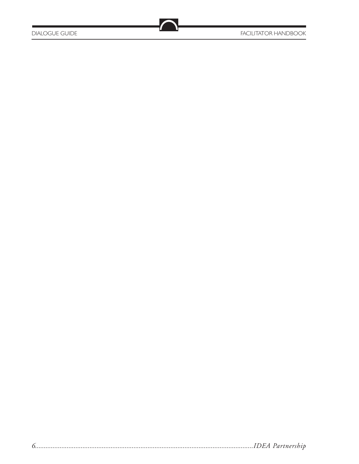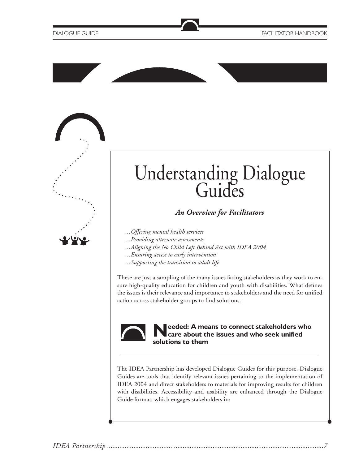



# Understanding Dialogue<br>Guides

#### *An Overview for Facilitators*

- *…Offering mental health services*
- *…Providing alternate assessments*
- *…Aligning the No Child Left Behind Act with IDEA 2004*
- *…Ensuring access to early intervention*
- *…Supporting the transition to adult life*

These are just a sampling of the many issues facing stakeholders as they work to ensure high-quality education for children and youth with disabilities. What defines the issues is their relevance and importance to stakeholders and the need for unified action across stakeholder groups to find solutions.



**Needed: A means to connect stakeholders who**  care about the issues and who seek unified **solutions to them**

The IDEA Partnership has developed Dialogue Guides for this purpose. Dialogue Guides are tools that identify relevant issues pertaining to the implementation of IDEA 2004 and direct stakeholders to materials for improving results for children with disabilities. Accessibility and usability are enhanced through the Dialogue Guide format, which engages stakeholders in:

*IDEA Partnership ...........................................................................................................................7*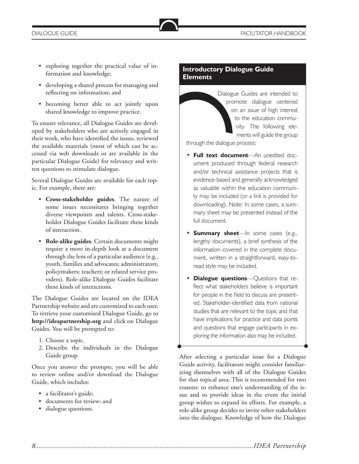- exploring together the practical value of information and knowledge;
- developing a shared process for managing and reflecting on information; and
- becoming better able to act jointly upon shared knowledge to improve practice.

To ensure relevance, all Dialogue Guides are developed by stakeholders who are actively engaged in their work, who have identified the issues, reviewed the available materials (most of which can be accessed via web downloads or are available in the particular Dialogue Guide) for relevancy and written questions to stimulate dialogue.

Several Dialogue Guides are available for each topic. For example, there are:

- **Cross-stakeholder guides**. The nature of some issues necessitates bringing together diverse viewpoints and talents. Cross-stakeholder Dialogue Guides facilitate these kinds of interaction.
- **Role-alike guides**. Certain documents might require a more in-depth look at a document through the lens of a particular audience (e.g., youth, families and advocates; administrators; policymakers; teachers; or related service providers). Role-alike Dialogue Guides facilitate these kinds of interactions.

The Dialogue Guides are located on the IDEA Partnership website and are customized to each user. To retrieve your customized Dialogue Guide, go to **http://ideapartnership.org** and click on Dialogue Guides. You will be prompted to:

- 1. Choose a topic.
- 2. Describe the individuals in the Dialogue Guide group.

Once you answer the prompts, you will be able to review online and/or download the Dialogue Guide, which includes:

- a facilitator's guide;
- documents for review; and
- dialogue questions.

#### **Introductory Dialogue Guide Elements**

Dialogue Guides are intended to promote dialogue centered on an issue of high interest to the education community. The following elements will guide the group

through the dialogue process:

- **Full text document**—An unedited document produced through federal research and/or technical assistance projects that is evidence-based and generally acknowledged as valuable within the education community may be included (or a link is provided for downloading). Note: In some cases, a summary sheet may be presented instead of the full document.
- **Summary sheet**—In some cases (e.g., lengthy documents), a brief synthesis of the information covered in the complete document, written in a straightforward, easy-toread style may be included.
- **Dialogue questions**—Questions that reflect what stakeholders believe is important for people in the field to discuss are presented. Stakeholder-identified data from national studies that are relevant to the topic and that have implications for practice and data points and questions that engage participants in exploring the information also may be included.

After selecting a particular issue for a Dialogue Guide activity, facilitators might consider familiarizing themselves with all of the Dialogue Guides for that topical area. This is recommended for two reasons: to enhance one's understanding of the issue and to provide ideas in the event the initial group wishes to expand its efforts. For example, a role-alike group decides to invite other stakeholders into the dialogue. Knowledge of how the Dialogue

*8............................................................................................................................IDEA Partnership*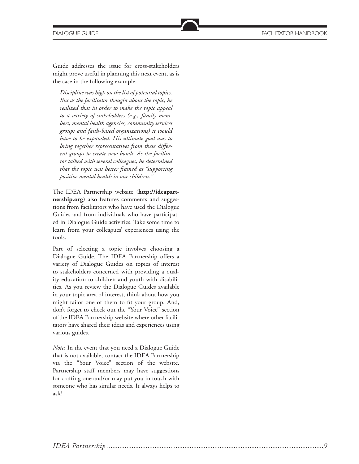Guide addresses the issue for cross-stakeholders might prove useful in planning this next event, as is the case in the following example:

*Discipline was high on the list of potential topics. But as the facilitator thought about the topic, he realized that in order to make the topic appeal to a variety of stakeholders (e.g., family members, mental health agencies, community services groups and faith-based organizations) it would have to be expanded. His ultimate goal was to bring together representatives from these different groups to create new bonds. As the facilitator talked with several colleagues, he determined that the topic was better framed as "supporting positive mental health in our children."* 

The IDEA Partnership website (**http://ideapartnership.org**) also features comments and suggestions from facilitators who have used the Dialogue Guides and from individuals who have participated in Dialogue Guide activities. Take some time to learn from your colleagues' experiences using the tools.

Part of selecting a topic involves choosing a Dialogue Guide. The IDEA Partnership offers a variety of Dialogue Guides on topics of interest to stakeholders concerned with providing a quality education to children and youth with disabilities. As you review the Dialogue Guides available in your topic area of interest, think about how you might tailor one of them to fit your group. And, don't forget to check out the "Your Voice" section of the IDEA Partnership website where other facilitators have shared their ideas and experiences using various guides.

*Note*: In the event that you need a Dialogue Guide that is not available, contact the IDEA Partnership via the "Your Voice" section of the website. Partnership staff members may have suggestions for crafting one and/or may put you in touch with someone who has similar needs. It always helps to ask!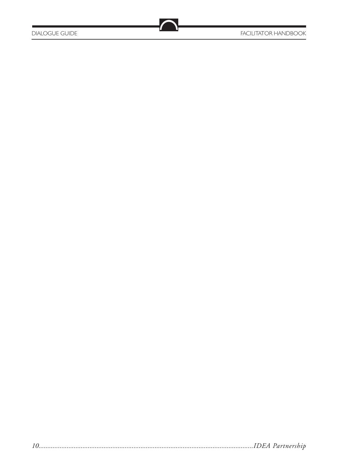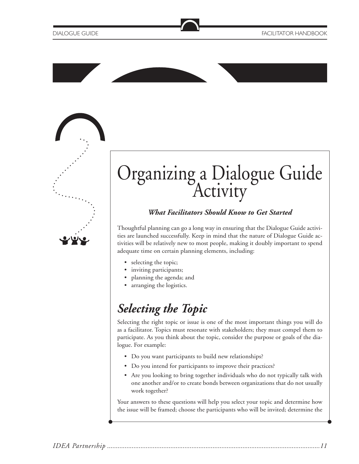

# Organizing a Dialogue Guide

#### *What Facilitators Should Know to Get Started*

Thoughtful planning can go a long way in ensuring that the Dialogue Guide activities are launched successfully. Keep in mind that the nature of Dialogue Guide activities will be relatively new to most people, making it doubly important to spend adequate time on certain planning elements, including:

- selecting the topic;
- inviting participants;
- planning the agenda; and
- arranging the logistics.

### *Selecting the Topic*

Selecting the right topic or issue is one of the most important things you will do as a facilitator. Topics must resonate with stakeholders; they must compel them to participate. As you think about the topic, consider the purpose or goals of the dialogue. For example:

- Do you want participants to build new relationships?
- Do you intend for participants to improve their practices?
- Are you looking to bring together individuals who do not typically talk with one another and/or to create bonds between organizations that do not usually work together?

Your answers to these questions will help you select your topic and determine how the issue will be framed; choose the participants who will be invited; determine the

*IDEA Partnership .........................................................................................................................11*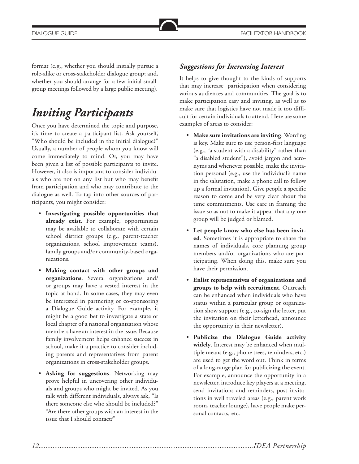format (e.g., whether you should initially pursue a role-alike or cross-stakeholder dialogue group; and, whether you should arrange for a few initial smallgroup meetings followed by a large public meeting).

# *Inviting Participants*

Once you have determined the topic and purpose, it's time to create a participant list. Ask yourself, "Who should be included in the initial dialogue?" Usually, a number of people whom you know will come immediately to mind. Or, you may have been given a list of possible participants to invite. However, it also is important to consider individuals who are not on any list but who may benefit from participation and who may contribute to the dialogue as well. To tap into other sources of participants, you might consider:

- **Investigating possible opportunities that already exist**. For example, opportunities may be available to collaborate with certain school district groups (e.g., parent-teacher organizations, school improvement teams), family groups and/or community-based organizations.
- **Making contact with other groups and organizations**. Several organizations and/ or groups may have a vested interest in the topic at hand. In some cases, they may even be interested in partnering or co-sponsoring a Dialogue Guide activity. For example, it might be a good bet to investigate a state or local chapter of a national organization whose members have an interest in the issue. Because family involvement helps enhance success in school, make it a practice to consider including parents and representatives from parent organizations in cross-stakeholder groups.
- **Asking for suggestions**. Networking may prove helpful in uncovering other individuals and groups who might be invited. As you talk with different individuals, always ask, "Is there someone else who should be included?" "Are there other groups with an interest in the issue that I should contact?"

#### *Suggestions for Increasing Interest*

It helps to give thought to the kinds of supports that may increase participation when considering various audiences and communities. The goal is to make participation easy and inviting, as well as to make sure that logistics have not made it too difficult for certain individuals to attend. Here are some examples of areas to consider:

- **Make sure invitations are inviting**. Wording is key. Make sure to use person-first language (e.g., "a student with a disability" rather than "a disabled student"), avoid jargon and acronyms and whenever possible, make the invitation personal (e.g., use the individual's name in the salutation, make a phone call to follow up a formal invitation). Give people a specific reason to come and be very clear about the time commitments. Use care in framing the issue so as not to make it appear that any one group will be judged or blamed.
- **Let people know who else has been invited**. Sometimes it is appropriate to share the names of individuals, core planning group members and/or organizations who are participating. When doing this, make sure you have their permission.
- **Enlist representatives of organizations and groups to help with recruitment**. Outreach can be enhanced when individuals who have status within a particular group or organization show support (e.g., co-sign the letter, put the invitation on their letterhead, announce the opportunity in their newsletter).
- **Publicize the Dialogue Guide activity widely**. Interest may be enhanced when multiple means (e.g., phone trees, reminders, etc.) are used to get the word out. Think in terms of a long-range plan for publicizing the event. For example, announce the opportunity in a newsletter, introduce key players at a meeting, send invitations and reminders, post invitations in well traveled areas (e.g., parent work room, teacher lounge), have people make personal contacts, etc.

*12..........................................................................................................................IDEA Partnership*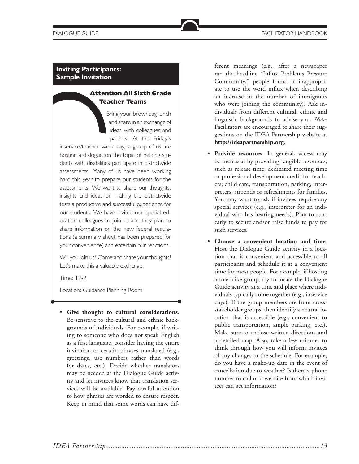#### **Inviting Participants: Sample Invitation**

#### **Attention All Sixth Grade Teacher Teams**

Bring your brownbag lunch and share in an exchange of ideas with colleagues and parents. At this Friday's inservice/teacher work day, a group of us are hosting a dialogue on the topic of helping students with disabilities participate in districtwide assessments. Many of us have been working hard this year to prepare our students for the assessments. We want to share our thoughts, insights and ideas on making the districtwide tests a productive and successful experience for our students. We have invited our special education colleagues to join us and they plan to share information on the new federal regulations (a summary sheet has been prepared for your convenience) and entertain our reactions.

Will you join us? Come and share your thoughts! Let's make this a valuable exchange.

Time: 12-2

Location: Guidance Planning Room

• **Give thought to cultural considerations**. Be sensitive to the cultural and ethnic backgrounds of individuals. For example, if writing to someone who does not speak English as a first language, consider having the entire invitation or certain phrases translated (e.g., greetings, use numbers rather than words for dates, etc.). Decide whether translators may be needed at the Dialogue Guide activity and let invitees know that translation services will be available. Pay careful attention to how phrases are worded to ensure respect. Keep in mind that some words can have different meanings (e.g., after a newspaper ran the headline "Influx Problems Pressure Community," people found it inappropriate to use the word influx when describing an increase in the number of immigrants who were joining the community). Ask individuals from different cultural, ethnic and linguistic backgrounds to advise you. *Note*: Facilitators are encouraged to share their suggestions on the IDEA Partnership website at **http://ideapartnership.org**.

- Provide resources. In general, access may be increased by providing tangible resources, such as release time, dedicated meeting time or professional development credit for teachers; child care, transportation, parking, interpreters, stipends or refreshments for families. You may want to ask if invitees require any special services (e.g., interpreter for an individual who has hearing needs). Plan to start early to secure and/or raise funds to pay for such services.
- **Choose a convenient location and time**. Host the Dialogue Guide activity in a location that is convenient and accessible to all participants and schedule it at a convenient time for most people. For example, if hosting a role-alike group, try to locate the Dialogue Guide activity at a time and place where individuals typically come together (e.g., inservice days). If the group members are from crossstakeholder groups, then identify a neutral location that is accessible (e.g., convenient to public transportation, ample parking, etc.). Make sure to enclose written directions and a detailed map. Also, take a few minutes to think through how you will inform invitees of any changes to the schedule. For example, do you have a make-up date in the event of cancellation due to weather? Is there a phone number to call or a website from which invitees can get information?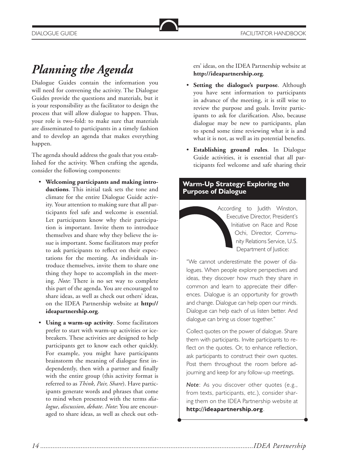# *Planning the Agenda*

Dialogue Guides contain the information you will need for convening the activity. The Dialogue Guides provide the questions and materials, but it is your responsibility as the facilitator to design the process that will allow dialogue to happen. Thus, your role is two-fold: to make sure that materials are disseminated to participants in a timely fashion and to develop an agenda that makes everything happen.

The agenda should address the goals that you established for the activity. When crafting the agenda, consider the following components:

- **Welcoming participants and making introductions**. This initial task sets the tone and climate for the entire Dialogue Guide activity. Your attention to making sure that all participants feel safe and welcome is essential. Let participants know why their participation is important. Invite them to introduce themselves and share why they believe the issue is important. Some facilitators may prefer to ask participants to reflect on their expectations for the meeting. As individuals introduce themselves, invite them to share one thing they hope to accomplish in the meeting. *Note*: There is no set way to complete this part of the agenda. You are encouraged to share ideas, as well as check out others' ideas, on the IDEA Partnership website at **http:// ideapartnership.org**.
- **Using a warm-up activity**. Some facilitators prefer to start with warm-up activities or icebreakers. These activities are designed to help participants get to know each other quickly. For example, you might have participants brainstorm the meaning of dialogue first independently, then with a partner and finally with the entire group (this activity format is referred to as *Think, Pair, Share*). Have participants generate words and phrases that come to mind when presented with the terms *dialogue*, *discussion*, *debate*. *Note*: You are encouraged to share ideas, as well as check out oth-

ers' ideas, on the IDEA Partnership website at **http://ideapartnership.org**.

- **Setting the dialogue's purpose**. Although you have sent information to participants in advance of the meeting, it is still wise to review the purpose and goals. Invite participants to ask for clarification. Also, because dialogue may be new to participants, plan to spend some time reviewing what it is and what it is not, as well as its potential benefits.
- **Establishing ground rules**. In Dialogue Guide activities, it is essential that all participants feel welcome and safe sharing their

#### **Warm-Up Strategy: Exploring the Purpose of Dialogue**

According to Judith Winston, Executive Director, President's Initiative on Race and Rose Ochi, Director, Community Relations Service, U.S. Department of Justice:

"We cannot underestimate the power of dialogues. When people explore perspectives and ideas, they discover how much they share in common and learn to appreciate their differences. Dialogue is an opportunity for growth and change. Dialogue can help open our minds. Dialogue can help each of us listen better. And dialogue can bring us closer together."

Collect quotes on the power of dialogue. Share them with participants. Invite participants to reflect on the quotes. Or, to enhance reflection, ask participants to construct their own quotes. Post them throughout the room before adjourning and keep for any follow-up meetings.

*Note*: As you discover other quotes (e.g., from texts, participants, etc.), consider sharing them on the IDEA Partnership website at **http://ideapartnership.org**.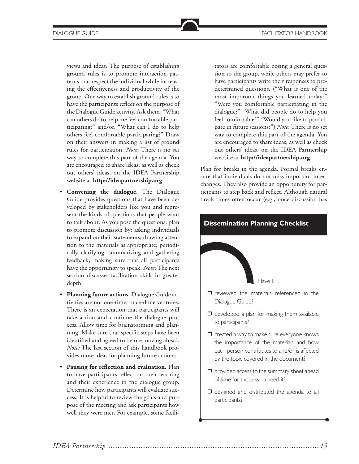views and ideas. The purpose of establishing ground rules is to promote interaction patterns that respect the individual while increasing the effectiveness and productivity of the group. One way to establish ground rules is to have the participants reflect on the purpose of the Dialogue Guide activity. Ask them, "What can others do to help me feel comfortable participating?" and/or, "What can I do to help others feel comfortable participating?" Draw on their answers in making a list of ground rules for participation. *Note*: There is no set way to complete this part of the agenda. You are encouraged to share ideas, as well as check out others' ideas, on the IDEA Partnership website at **http://ideapartnership.org**.

- **Convening the dialogue**. The Dialogue Guide provides questions that have been developed by stakeholders like you and represent the kinds of questions that people want to talk about. As you pose the questions, plan to promote discussion by: asking individuals to expand on their statements; drawing attention to the materials as appropriate; periodically clarifying, summarizing and gathering feedback; making sure that all participants have the opportunity to speak. *Note*: The next section discusses facilitation skills in greater depth.
- **Planning future actions**. Dialogue Guide activities are not one-time, once-done ventures. There is an expectation that participants will take action and continue the dialogue process. Allow time for brainstorming and planning. Make sure that specific steps have been identified and agreed to before moving ahead. *Note:* The last section of this handbook provides more ideas for planning future actions.
- **Pausing for reflection and evaluation**. Plan to have participants reflect on their learning and their experience in the dialogue group. Determine how participants will evaluate success. It is helpful to review the goals and purpose of the meeting and ask participants how well they were met. For example, some facili-

tators are comfortable posing a general question to the group, while others may prefer to have participants write their responses to predetermined questions. ("What is one of the most important things you learned today?" "Were you comfortable participating in the dialogue?" "What did people do to help you feel comfortable?" "Would you like to participate in future sessions?") *Note*: There is no set way to complete this part of the agenda. You are encouraged to share ideas, as well as check out others' ideas, on the IDEA Partnership website at **http://ideapartnership.org**.

Plan for breaks in the agenda. Formal breaks ensure that individuals do not miss important interchanges. They also provide an opportunity for participants to step back and reflect. Although natural break times often occur (e.g., once discussion has



#### *IDEA Partnership .........................................................................................................................15*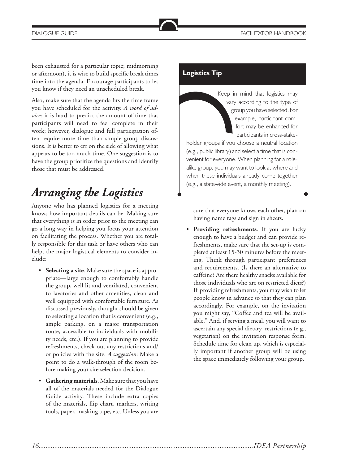been exhausted for a particular topic; midmorning or afternoon), it is wise to build specific break times time into the agenda. Encourage participants to let you know if they need an unscheduled break.

Also, make sure that the agenda fits the time frame you have scheduled for the activity. *A word of advice*: it is hard to predict the amount of time that participants will need to feel complete in their work; however, dialogue and full participation often require more time than simple group discussions. It is better to err on the side of allowing what appears to be too much time. One suggestion is to have the group prioritize the questions and identify those that must be addressed.

# *Arranging the Logistics*

Anyone who has planned logistics for a meeting knows how important details can be. Making sure that everything is in order prior to the meeting can go a long way in helping you focus your attention on facilitating the process. Whether you are totally responsible for this task or have others who can help, the major logistical elements to consider include:

- **Selecting a site**. Make sure the space is appropriate—large enough to comfortably handle the group, well lit and ventilated, convenient to lavatories and other amenities, clean and well equipped with comfortable furniture. As discussed previously, thought should be given to selecting a location that is convenient (e.g., ample parking, on a major transportation route, accessible to individuals with mobility needs, etc.). If you are planning to provide refreshments, check out any restrictions and/ or policies with the site. *A suggestion*: Make a point to do a walk-through of the room before making your site selection decision.
- **Gathering materials**. Make sure that you have all of the materials needed for the Dialogue Guide activity. These include extra copies of the materials, flip chart, markers, writing tools, paper, masking tape, etc. Unless you are

#### **Logistics Tip**

Keep in mind that logistics may vary according to the type of group you have selected. For example, participant comfort may be enhanced for participants in cross-stake-

holder groups if you choose a neutral location (e.g., public library) and select a time that is convenient for everyone. When planning for a rolealike group, you may want to look at where and when these individuals already come together (e.g., a statewide event, a monthly meeting).

sure that everyone knows each other, plan on having name tags and sign in sheets.

• **Providing refreshments**. If you are lucky enough to have a budget and can provide refreshments, make sure that the set-up is completed at least 15-30 minutes before the meeting. Think through participant preferences and requirements. (Is there an alternative to caffeine? Are there healthy snacks available for those individuals who are on restricted diets?) If providing refreshments, you may wish to let people know in advance so that they can plan accordingly. For example, on the invitation you might say, "Coffee and tea will be available." And, if serving a meal, you will want to ascertain any special dietary restrictions (e.g., vegetarian) on the invitation response form. Schedule time for clean up, which is especially important if another group will be using the space immediately following your group.

*16..........................................................................................................................IDEA Partnership*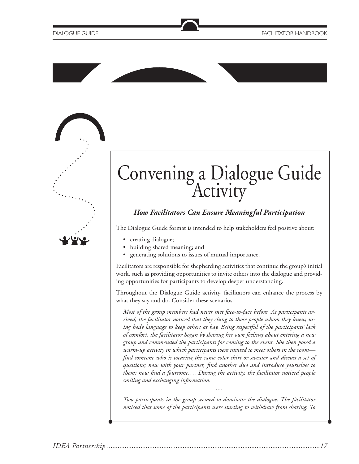

# Convening a Dialogue Guide<br>Activity

#### *How Facilitators Can Ensure Meaningful Participation*

The Dialogue Guide format is intended to help stakeholders feel positive about:

- creating dialogue;
- building shared meaning; and
- generating solutions to issues of mutual importance.

Facilitators are responsible for shepherding activities that continue the group's initial work, such as providing opportunities to invite others into the dialogue and providing opportunities for participants to develop deeper understanding.

Throughout the Dialogue Guide activity, facilitators can enhance the process by what they say and do. Consider these scenarios:

*Most of the group members had never met face-to-face before. As participants arrived, the facilitator noticed that they clung to those people whom they knew, using body language to keep others at bay. Being respectful of the participants' lack of comfort, the facilitator began by sharing her own feelings about entering a new group and commended the participants for coming to the event. She then posed a warm-up activity in which participants were invited to meet others in the room fi nd someone who is wearing the same color shirt or sweater and discuss a set of questions; now with your partner, fi nd another duo and introduce yourselves to*  them; now find a foursome.... During the activity, the facilitator noticed people *smiling and exchanging information.* 

*Two participants in the group seemed to dominate the dialogue. The facilitator noticed that some of the participants were starting to withdraw from sharing. To* 

*…*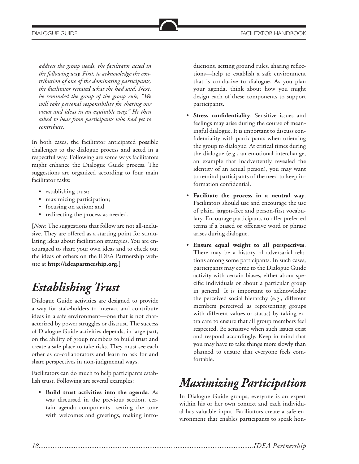*address the group needs, the facilitator acted in the following way. First, to acknowledge the contribution of one of the dominating participants, the facilitator restated what she had said. Next, he reminded the group of the group rule, "We will take personal responsibility for sharing our views and ideas in an equitable way." He then asked to hear from participants who had yet to contribute.* 

In both cases, the facilitator anticipated possible challenges to the dialogue process and acted in a respectful way. Following are some ways facilitators might enhance the Dialogue Guide process. The suggestions are organized according to four main facilitator tasks:

- establishing trust;
- maximizing participation;
- focusing on action; and
- redirecting the process as needed.

[*Note*: The suggestions that follow are not all-inclusive. They are offered as a starting point for stimulating ideas about facilitation strategies. You are encouraged to share your own ideas and to check out the ideas of others on the IDEA Partnership website at **http://ideapartnership.org**.]

# *Establishing Trust*

Dialogue Guide activities are designed to provide a way for stakeholders to interact and contribute ideas in a safe environment—one that is not characterized by power struggles or distrust. The success of Dialogue Guide activities depends, in large part, on the ability of group members to build trust and create a safe place to take risks. They must see each other as co-collaborators and learn to ask for and share perspectives in non-judgmental ways.

Facilitators can do much to help participants establish trust. Following are several examples:

• **Build trust activities into the agenda**. As was discussed in the previous section, certain agenda components—setting the tone with welcomes and greetings, making intro-

ductions, setting ground rules, sharing reflections—help to establish a safe environment that is conducive to dialogue. As you plan your agenda, think about how you might design each of these components to support participants.

- Stress confidentiality. Sensitive issues and feelings may arise during the course of meaningful dialogue. It is important to discuss confidentiality with participants when orienting the group to dialogue. At critical times during the dialogue (e.g., an emotional interchange, an example that inadvertently revealed the identity of an actual person), you may want to remind participants of the need to keep information confidential.
- **Facilitate the process in a neutral way**. Facilitators should use and encourage the use of plain, jargon-free and person-first vocabulary. Encourage participants to offer preferred terms if a biased or offensive word or phrase arises during dialogue.
- **Ensure equal weight to all perspectives**. There may be a history of adversarial relations among some participants. In such cases, participants may come to the Dialogue Guide activity with certain biases, either about specific individuals or about a particular group in general. It is important to acknowledge the perceived social hierarchy (e.g., different members perceived as representing groups with different values or status) by taking extra care to ensure that all group members feel respected. Be sensitive when such issues exist and respond accordingly. Keep in mind that you may have to take things more slowly than planned to ensure that everyone feels comfortable.

# *Maximizing Participation*

In Dialogue Guide groups, everyone is an expert within his or her own context and each individual has valuable input. Facilitators create a safe environment that enables participants to speak hon-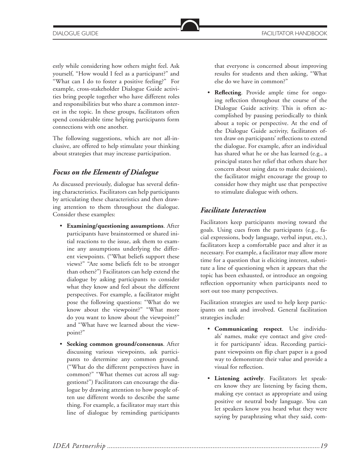estly while considering how others might feel. Ask yourself, "How would I feel as a participant?" and "What can I do to foster a positive feeling?" For example, cross-stakeholder Dialogue Guide activities bring people together who have different roles and responsibilities but who share a common interest in the topic. In these groups, facilitators often spend considerable time helping participants form connections with one another.

The following suggestions, which are not all-inclusive, are offered to help stimulate your thinking about strategies that may increase participation.

#### *Focus on the Elements of Dialogue*

As discussed previously, dialogue has several defining characteristics. Facilitators can help participants by articulating these characteristics and then drawing attention to them throughout the dialogue. Consider these examples:

- **Examining/questioning assumptions**. After participants have brainstormed or shared initial reactions to the issue, ask them to examine any assumptions underlying the different viewpoints. ("What beliefs support these views?" "Are some beliefs felt to be stronger than others?") Facilitators can help extend the dialogue by asking participants to consider what they know and feel about the different perspectives. For example, a facilitator might pose the following questions: "What do we know about the viewpoint?" "What more do you want to know about the viewpoint?" and "What have we learned about the viewpoint?"
- **Seeking common ground/consensus**. After discussing various viewpoints, ask participants to determine any common ground. ("What do the different perspectives have in common?" "What themes cut across all suggestions?") Facilitators can encourage the dialogue by drawing attention to how people often use different words to describe the same thing. For example, a facilitator may start this line of dialogue by reminding participants

that everyone is concerned about improving results for students and then asking, "What else do we have in common?"

• Reflecting. Provide ample time for ongoing reflection throughout the course of the Dialogue Guide activity. This is often accomplished by pausing periodically to think about a topic or perspective. At the end of the Dialogue Guide activity, facilitators often draw on participants' reflections to extend the dialogue. For example, after an individual has shared what he or she has learned (e.g., a principal states her relief that others share her concern about using data to make decisions), the facilitator might encourage the group to consider how they might use that perspective to stimulate dialogue with others.

#### *Facilitate Interaction*

Facilitators keep participants moving toward the goals. Using cues from the participants (e.g., facial expressions, body language, verbal input, etc.), facilitators keep a comfortable pace and alter it as necessary. For example, a facilitator may allow more time for a question that is eliciting interest, substitute a line of questioning when it appears that the topic has been exhausted, or introduce an ongoing reflection opportunity when participants need to sort out too many perspectives.

Facilitation strategies are used to help keep participants on task and involved. General facilitation strategies include:

- **Communicating respect**. Use individuals' names, make eye contact and give credit for participants' ideas. Recording participant viewpoints on flip chart paper is a good way to demonstrate their value and provide a visual for reflection.
- **Listening actively**. Facilitators let speakers know they are listening by facing them, making eye contact as appropriate and using positive or neutral body language. You can let speakers know you heard what they were saying by paraphrasing what they said, com-

#### *IDEA Partnership .........................................................................................................................19*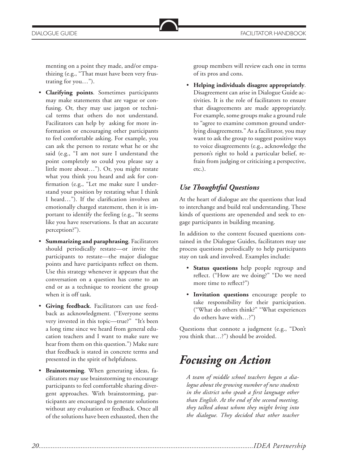menting on a point they made, and/or empathizing (e.g., "That must have been very frustrating for you…").

- **Clarifying points**. Sometimes participants may make statements that are vague or confusing. Or, they may use jargon or technical terms that others do not understand. Facilitators can help by asking for more information or encouraging other participants to feel comfortable asking. For example, you can ask the person to restate what he or she said (e.g., "I am not sure I understand the point completely so could you please say a little more about…"). Or, you might restate what you think you heard and ask for confirmation (e.g., "Let me make sure I understand your position by restating what I think I heard..."). If the clarification involves an emotionally charged statement, then it is important to identify the feeling (e.g., "It seems like you have reservations. Is that an accurate perception?").
- **Summarizing and paraphrasing**. Facilitators should periodically restate—or invite the participants to restate—the major dialogue points and have participants reflect on them. Use this strategy whenever it appears that the conversation on a question has come to an end or as a technique to reorient the group when it is off task.
- **Giving feedback**. Facilitators can use feedback as acknowledgment. ("Everyone seems very invested in this topic—true?" "It's been a long time since we heard from general education teachers and I want to make sure we hear from them on this question.") Make sure that feedback is stated in concrete terms and presented in the spirit of helpfulness.
- **Brainstorming**. When generating ideas, facilitators may use brainstorming to encourage participants to feel comfortable sharing divergent approaches. With brainstorming, participants are encouraged to generate solutions without any evaluation or feedback. Once all of the solutions have been exhausted, then the

group members will review each one in terms of its pros and cons.

• **Helping individuals disagree appropriately**. Disagreement can arise in Dialogue Guide activities. It is the role of facilitators to ensure that disagreements are made appropriately. For example, some groups make a ground rule to "agree to examine common ground underlying disagreements." As a facilitator, you may want to ask the group to suggest positive ways to voice disagreements (e.g., acknowledge the person's right to hold a particular belief, refrain from judging or criticizing a perspective, etc.).

#### *Use Thoughtful Questions*

At the heart of dialogue are the questions that lead to interchange and build real understanding. These kinds of questions are openended and seek to engage participants in building meaning.

In addition to the content focused questions contained in the Dialogue Guides, facilitators may use process questions periodically to help participants stay on task and involved. Examples include:

- **Status questions** help people regroup and reflect. ("How are we doing?" "Do we need more time to reflect?")
- **Invitation questions** encourage people to take responsibility for their participation. ("What do others think?" "What experiences do others have with…?")

Questions that connote a judgment (e.g., "Don't you think that…?") should be avoided.

### *Focusing on Action*

*A team of middle school teachers began a dialogue about the growing number of new students*  in the district who speak a first language other *than English. At the end of the second meeting, they talked about whom they might bring into the dialogue. They decided that other teacher*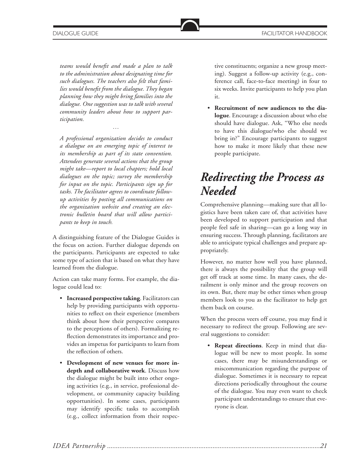*teams would benefi t and made a plan to talk to the administration about designating time for such dialogues. The teachers also felt that families would benefi t from the dialogue. They began planning how they might bring families into the dialogue. One suggestion was to talk with several community leaders about how to support participation.*

*…*

*A professional organization decides to conduct a dialogue on an emerging topic of interest to its membership as part of its state convention. Attendees generate several actions that the group might take—report to local chapters; hold local dialogues on the topic; survey the membership for input on the topic. Participants sign up for tasks. The facilitator agrees to coordinate followup activities by posting all communications on the organization website and creating an electronic bulletin board that will allow participants to keep in touch.* 

A distinguishing feature of the Dialogue Guides is the focus on action. Further dialogue depends on the participants. Participants are expected to take some type of action that is based on what they have learned from the dialogue.

Action can take many forms. For example, the dialogue could lead to:

- **Increased perspective taking**. Facilitators can help by providing participants with opportunities to reflect on their experience (members think about how their perspective compares to the perceptions of others). Formalizing reflection demonstrates its importance and provides an impetus for participants to learn from the reflection of others.
- **Development of new venues for more indepth and collaborative work**. Discuss how the dialogue might be built into other ongoing activities (e.g., in service, professional development, or community capacity building opportunities). In some cases, participants may identify specific tasks to accomplish (e.g., collect information from their respec-

tive constituents; organize a new group meeting). Suggest a follow-up activity (e.g., conference call, face-to-face meeting) in four to six weeks. Invite participants to help you plan it.

• **Recruitment of new audiences to the dialogue**. Encourage a discussion about who else should have dialogue. Ask, "Who else needs to have this dialogue/who else should we bring in?" Encourage participants to suggest how to make it more likely that these new people participate.

### *Redirecting the Process as Needed*

Comprehensive planning—making sure that all logistics have been taken care of, that activities have been developed to support participation and that people feel safe in sharing—can go a long way in ensuring success. Through planning, facilitators are able to anticipate typical challenges and prepare appropriately.

However, no matter how well you have planned, there is always the possibility that the group will get off track at some time. In many cases, the derailment is only minor and the group recovers on its own. But, there may be other times when group members look to you as the facilitator to help get them back on course.

When the process veers off course, you may find it necessary to redirect the group. Following are several suggestions to consider:

• **Repeat directions**. Keep in mind that dialogue will be new to most people. In some cases, there may be misunderstandings or miscommunication regarding the purpose of dialogue. Sometimes it is necessary to repeat directions periodically throughout the course of the dialogue. You may even want to check participant understandings to ensure that everyone is clear.

#### *IDEA Partnership .........................................................................................................................21*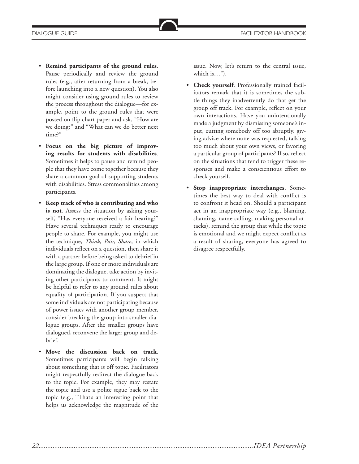- **Remind participants of the ground rules**. Pause periodically and review the ground rules (e.g., after returning from a break, before launching into a new question). You also might consider using ground rules to review the process throughout the dialogue—for example, point to the ground rules that were posted on flip chart paper and ask, "How are we doing?" and "What can we do better next time?"
- **Focus on the big picture of improving results for students with disabilities**. Sometimes it helps to pause and remind people that they have come together because they share a common goal of supporting students with disabilities. Stress commonalities among participants.
- **Keep track of who is contributing and who is not**. Assess the situation by asking yourself, "Has everyone received a fair hearing?" Have several techniques ready to encourage people to share. For example, you might use the technique, *Think, Pair, Share*, in which individuals reflect on a question, then share it with a partner before being asked to debrief in the large group. If one or more individuals are dominating the dialogue, take action by inviting other participants to comment. It might be helpful to refer to any ground rules about equality of participation. If you suspect that some individuals are not participating because of power issues with another group member, consider breaking the group into smaller dialogue groups. After the smaller groups have dialogued, reconvene the larger group and debrief.
- **Move the discussion back on track**. Sometimes participants will begin talking about something that is off topic. Facilitators might respectfully redirect the dialogue back to the topic. For example, they may restate the topic and use a polite segue back to the topic (e.g., "That's an interesting point that helps us acknowledge the magnitude of the

issue. Now, let's return to the central issue, which is…").

- **Check yourself**. Professionally trained facilitators remark that it is sometimes the subtle things they inadvertently do that get the group off track. For example, reflect on your own interactions. Have you unintentionally made a judgment by dismissing someone's input, cutting somebody off too abruptly, giving advice where none was requested, talking too much about your own views, or favoring a particular group of participants? If so, reflect on the situations that tend to trigger these responses and make a conscientious effort to check yourself.
- **Stop inappropriate interchanges**. Sometimes the best way to deal with conflict is to confront it head on. Should a participant act in an inappropriate way (e.g., blaming, shaming, name calling, making personal attacks), remind the group that while the topic is emotional and we might expect conflict as a result of sharing, everyone has agreed to disagree respectfully.

*22..........................................................................................................................IDEA Partnership*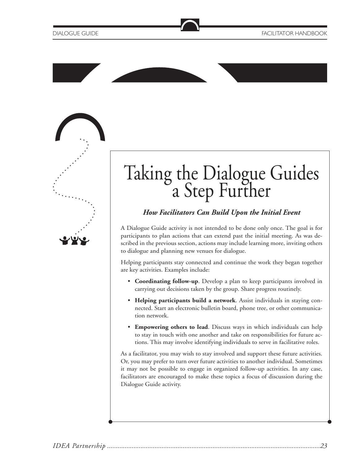

# Taking the Dialogue Guides a Step Further

#### *How Facilitators Can Build Upon the Initial Event*

A Dialogue Guide activity is not intended to be done only once. The goal is for participants to plan actions that can extend past the initial meeting. As was described in the previous section, actions may include learning more, inviting others to dialogue and planning new venues for dialogue.

Helping participants stay connected and continue the work they began together are key activities. Examples include:

- **Coordinating follow-up**. Develop a plan to keep participants involved in carrying out decisions taken by the group. Share progress routinely.
- **Helping participants build a network**. Assist individuals in staying connected. Start an electronic bulletin board, phone tree, or other communication network.
- **Empowering others to lead**. Discuss ways in which individuals can help to stay in touch with one another and take on responsibilities for future actions. This may involve identifying individuals to serve in facilitative roles.

As a facilitator, you may wish to stay involved and support these future activities. Or, you may prefer to turn over future activities to another individual. Sometimes it may not be possible to engage in organized follow-up activities. In any case, facilitators are encouraged to make these topics a focus of discussion during the Dialogue Guide activity.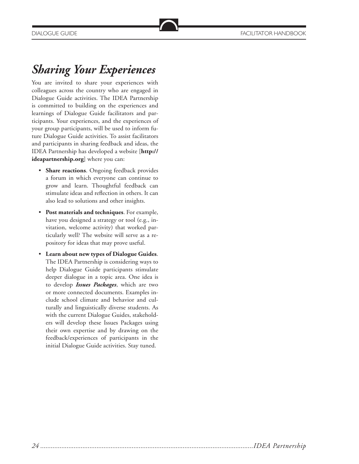### *Sharing Your Experiences*

You are invited to share your experiences with colleagues across the country who are engaged in Dialogue Guide activities. The IDEA Partnership is committed to building on the experiences and learnings of Dialogue Guide facilitators and participants. Your experiences, and the experiences of your group participants, will be used to inform future Dialogue Guide activities. To assist facilitators and participants in sharing feedback and ideas, the IDEA Partnership has developed a website [**http:// ideapartnership.org**] where you can:

- **Share reactions**. Ongoing feedback provides a forum in which everyone can continue to grow and learn. Thoughtful feedback can stimulate ideas and reflection in others. It can also lead to solutions and other insights.
- **Post materials and techniques**. For example, have you designed a strategy or tool (e.g., invitation, welcome activity) that worked particularly well? The website will serve as a repository for ideas that may prove useful.
- **Learn about new types of Dialogue Guides**. The IDEA Partnership is considering ways to help Dialogue Guide participants stimulate deeper dialogue in a topic area. One idea is to develop *Issues Packages*, which are two or more connected documents. Examples include school climate and behavior and culturally and linguistically diverse students. As with the current Dialogue Guides, stakeholders will develop these Issues Packages using their own expertise and by drawing on the feedback/experiences of participants in the initial Dialogue Guide activities. Stay tuned.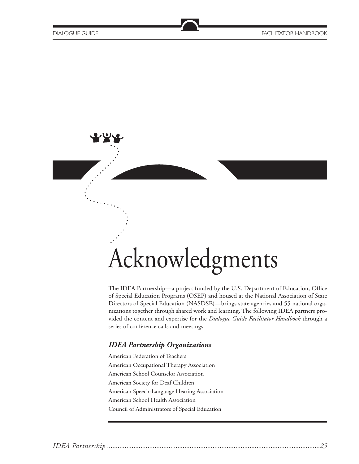

# Acknowledgments

The IDEA Partnership—a project funded by the U.S. Department of Education, Office of Special Education Programs (OSEP) and housed at the National Association of State Directors of Special Education (NASDSE)—brings state agencies and 55 national organizations together through shared work and learning. The following IDEA partners provided the content and expertise for the *Dialogue Guide Facilitator Handbook* through a series of conference calls and meetings.

#### *IDEA Partnership Organizations*

American Federation of Teachers American Occupational Therapy Association American School Counselor Association American Society for Deaf Children American Speech-Language Hearing Association American School Health Association Council of Administrators of Special Education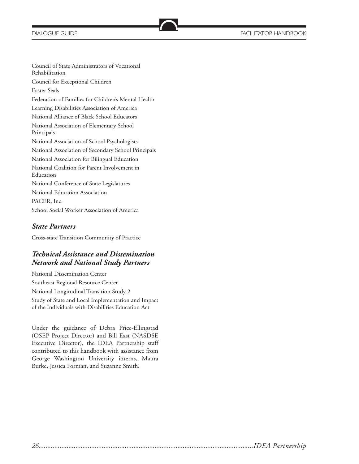Council of State Administrators of Vocational Rehabilitation Council for Exceptional Children Easter Seals Federation of Families for Children's Mental Health Learning Disabilities Association of America National Alliance of Black School Educators National Association of Elementary School Principals National Association of School Psychologists National Association of Secondary School Principals National Association for Bilingual Education National Coalition for Parent Involvement in Education National Conference of State Legislatures National Education Association PACER, Inc. School Social Worker Association of America

#### *State Partners*

Cross-state Transition Community of Practice

#### *Technical Assistance and Dissemination Network and National Study Partners*

National Dissemination Center Southeast Regional Resource Center National Longitudinal Transition Study 2 Study of State and Local Implementation and Impact of the Individuals with Disabilities Education Act

Under the guidance of Debra Price-Ellingstad (OSEP Project Director) and Bill East (NASDSE Executive Director), the IDEA Partnership staff contributed to this handbook with assistance from George Washington University interns, Maura Burke, Jessica Forman, and Suzanne Smith.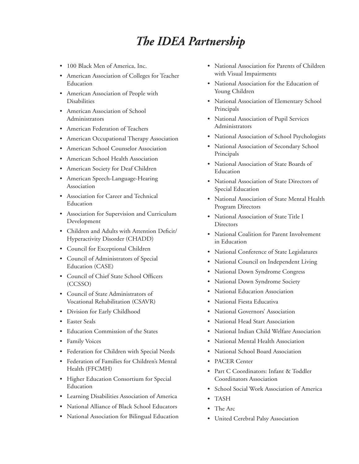# *The IDEA Partnership*

- 100 Black Men of America, Inc.
- American Association of Colleges for Teacher Education
- American Association of People with Disabilities
- American Association of School Administrators
- American Federation of Teachers
- American Occupational Therapy Association
- American School Counselor Association
- American School Health Association
- American Society for Deaf Children
- American Speech-Language-Hearing Association
- Association for Career and Technical Education
- Association for Supervision and Curriculum Development
- Children and Adults with Attention Deficit/ Hyperactivity Disorder (CHADD)
- Council for Exceptional Children
- Council of Administrators of Special Education (CASE)
- Council of Chief State School Officers (CCSSO)
- Council of State Administrators of Vocational Rehabilitation (CSAVR)
- Division for Early Childhood
- Easter Seals
- Education Commission of the States
- Family Voices
- Federation for Children with Special Needs
- Federation of Families for Children's Mental Health (FFCMH)
- Higher Education Consortium for Special Education
- Learning Disabilities Association of America
- National Alliance of Black School Educators
- National Association for Bilingual Education
- National Association for Parents of Children with Visual Impairments
- National Association for the Education of Young Children
- National Association of Elementary School Principals
- National Association of Pupil Services Administrators
- National Association of School Psychologists
- National Association of Secondary School Principals
- National Association of State Boards of Education
- National Association of State Directors of Special Education
- National Association of State Mental Health Program Directors
- National Association of State Title I Directors
- National Coalition for Parent Involvement in Education
- National Conference of State Legislatures
- National Council on Independent Living
- National Down Syndrome Congress
- National Down Syndrome Society
- National Education Association
- National Fiesta Educativa
- National Governors' Association
- National Head Start Association
- National Indian Child Welfare Association
- National Mental Health Association
- National School Board Association
- PACER Center
- Part C Coordinators: Infant & Toddler Coordinators Association
- School Social Work Association of America
- TASH
- The Arc
- United Cerebral Palsy Association